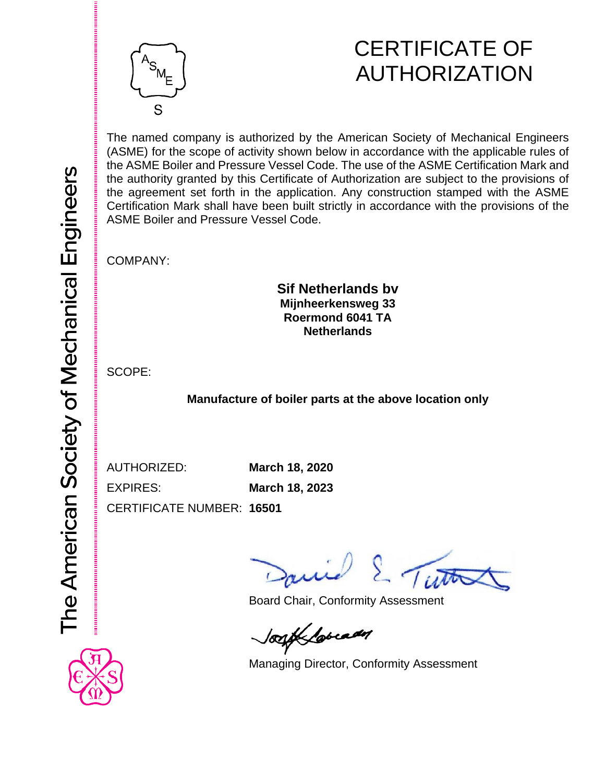

## CERTIFICATE OF AUTHORIZATION

The named company is authorized by the American Society of Mechanical Engineers (ASME) for the scope of activity shown below in accordance with the applicable rules of the ASME Boiler and Pressure Vessel Code. The use of the ASME Certification Mark and the authority granted by this Certificate of Authorization are subject to the provisions of the agreement set forth in the application. Any construction stamped with the ASME Certification Mark shall have been built strictly in accordance with the provisions of the ASME Boiler and Pressure Vessel Code.

COMPANY:

### **Sif Netherlands bv Mijnheerkensweg 33 Roermond 6041 TA Netherlands**

SCOPE:

**Manufacture of boiler parts at the above location only**

AUTHORIZED: **March 18, 2020**

EXPIRES: **March 18, 2023**

CERTIFICATE NUMBER: **16501**

E Tutto

Board Chair, Conformity Assessment

look lovedy

Managing Director, Conformity Assessment

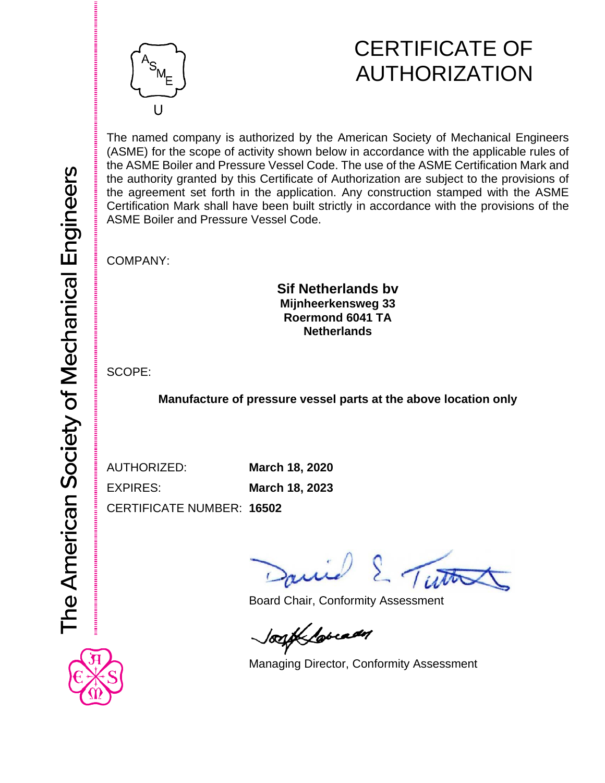

## CERTIFICATE OF AUTHORIZATION

The named company is authorized by the American Society of Mechanical Engineers (ASME) for the scope of activity shown below in accordance with the applicable rules of the ASME Boiler and Pressure Vessel Code. The use of the ASME Certification Mark and the authority granted by this Certificate of Authorization are subject to the provisions of the agreement set forth in the application. Any construction stamped with the ASME Certification Mark shall have been built strictly in accordance with the provisions of the ASME Boiler and Pressure Vessel Code.

COMPANY:

### **Sif Netherlands bv Mijnheerkensweg 33 Roermond 6041 TA Netherlands**

SCOPE:

**Manufacture of pressure vessel parts at the above location only**

AUTHORIZED: **March 18, 2020** EXPIRES: **March 18, 2023**

CERTIFICATE NUMBER: **16502**

E Tutto

Board Chair, Conformity Assessment

logif lovedy

Managing Director, Conformity Assessment